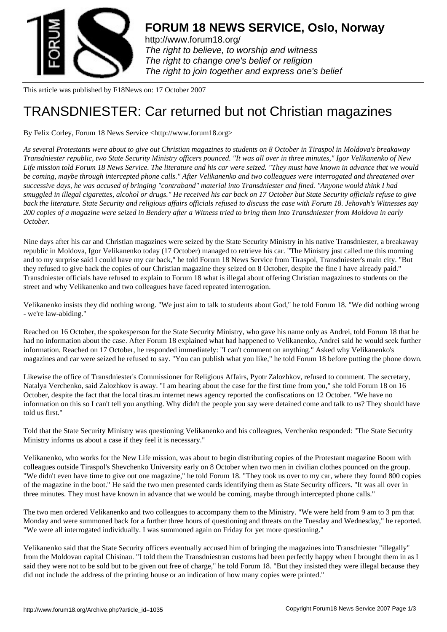

http://www.forum18.org/ The right to believe, to worship and witness The right to change one's belief or religion [The right to join together](http://www.forum18.org/) and express one's belief

This article was published by F18News on: 17 October 2007

## [TRANSDNIESTER](http://www.forum18.org): Car returned but not Christian magazines

By Felix Corley, Forum 18 News Service <http://www.forum18.org>

*As several Protestants were about to give out Christian magazines to students on 8 October in Tiraspol in Moldova's breakaway Transdniester republic, two State Security Ministry officers pounced. "It was all over in three minutes," Igor Velikanenko of New Life mission told Forum 18 News Service. The literature and his car were seized. "They must have known in advance that we would be coming, maybe through intercepted phone calls." After Velikanenko and two colleagues were interrogated and threatened over successive days, he was accused of bringing "contraband" material into Transdniester and fined. "Anyone would think I had smuggled in illegal cigarettes, alcohol or drugs." He received his car back on 17 October but State Security officials refuse to give back the literature. State Security and religious affairs officials refused to discuss the case with Forum 18. Jehovah's Witnesses say 200 copies of a magazine were seized in Bendery after a Witness tried to bring them into Transdniester from Moldova in early October.*

Nine days after his car and Christian magazines were seized by the State Security Ministry in his native Transdniester, a breakaway republic in Moldova, Igor Velikanenko today (17 October) managed to retrieve his car. "The Ministry just called me this morning and to my surprise said I could have my car back," he told Forum 18 News Service from Tiraspol, Transdniester's main city. "But they refused to give back the copies of our Christian magazine they seized on 8 October, despite the fine I have already paid." Transdniester officials have refused to explain to Forum 18 what is illegal about offering Christian magazines to students on the street and why Velikanenko and two colleagues have faced repeated interrogation.

Velikanenko insists they did nothing wrong. "We just aim to talk to students about God," he told Forum 18. "We did nothing wrong - we're law-abiding."

Reached on 16 October, the spokesperson for the State Security Ministry, who gave his name only as Andrei, told Forum 18 that he had no information about the case. After Forum 18 explained what had happened to Velikanenko, Andrei said he would seek further information. Reached on 17 October, he responded immediately: "I can't comment on anything." Asked why Velikanenko's magazines and car were seized he refused to say. "You can publish what you like," he told Forum 18 before putting the phone down.

Likewise the office of Transdniester's Commissioner for Religious Affairs, Pyotr Zalozhkov, refused to comment. The secretary, Natalya Verchenko, said Zalozhkov is away. "I am hearing about the case for the first time from you," she told Forum 18 on 16 October, despite the fact that the local tiras.ru internet news agency reported the confiscations on 12 October. "We have no information on this so I can't tell you anything. Why didn't the people you say were detained come and talk to us? They should have told us first."

Told that the State Security Ministry was questioning Velikanenko and his colleagues, Verchenko responded: "The State Security Ministry informs us about a case if they feel it is necessary."

Velikanenko, who works for the New Life mission, was about to begin distributing copies of the Protestant magazine Boom with colleagues outside Tiraspol's Shevchenko University early on 8 October when two men in civilian clothes pounced on the group. "We didn't even have time to give out one magazine," he told Forum 18. "They took us over to my car, where they found 800 copies of the magazine in the boot." He said the two men presented cards identifying them as State Security officers. "It was all over in three minutes. They must have known in advance that we would be coming, maybe through intercepted phone calls."

The two men ordered Velikanenko and two colleagues to accompany them to the Ministry. "We were held from 9 am to 3 pm that Monday and were summoned back for a further three hours of questioning and threats on the Tuesday and Wednesday," he reported. "We were all interrogated individually. I was summoned again on Friday for yet more questioning."

Velikanenko said that the State Security officers eventually accused him of bringing the magazines into Transdniester "illegally" from the Moldovan capital Chisinau. "I told them the Transdniestran customs had been perfectly happy when I brought them in as I said they were not to be sold but to be given out free of charge," he told Forum 18. "But they insisted they were illegal because they did not include the address of the printing house or an indication of how many copies were printed."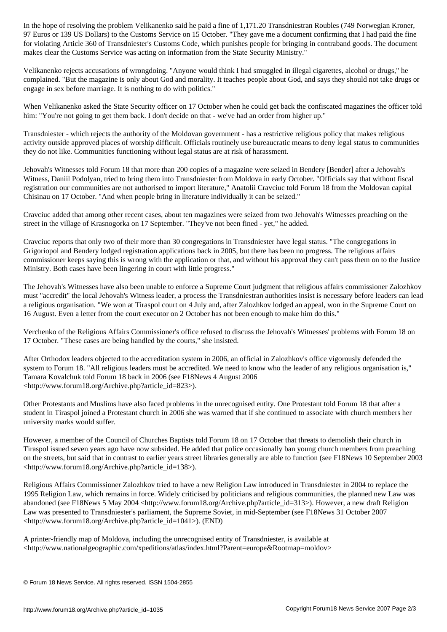97 Euros or 139 US Dollars) to the Customs Service on 15 October. "They gave me a document confirming that I had paid the fine for violating Article 360 of Transdniester's Customs Code, which punishes people for bringing in contraband goods. The document makes clear the Customs Service was acting on information from the State Security Ministry."

Velikanenko rejects accusations of wrongdoing. "Anyone would think I had smuggled in illegal cigarettes, alcohol or drugs," he complained. "But the magazine is only about God and morality. It teaches people about God, and says they should not take drugs or engage in sex before marriage. It is nothing to do with politics."

When Velikanenko asked the State Security officer on 17 October when he could get back the confiscated magazines the officer told him: "You're not going to get them back. I don't decide on that - we've had an order from higher up."

Transdniester - which rejects the authority of the Moldovan government - has a restrictive religious policy that makes religious activity outside approved places of worship difficult. Officials routinely use bureaucratic means to deny legal status to communities they do not like. Communities functioning without legal status are at risk of harassment.

Jehovah's Witnesses told Forum 18 that more than 200 copies of a magazine were seized in Bendery [Bender] after a Jehovah's Witness, Daniil Podolyan, tried to bring them into Transdniester from Moldova in early October. "Officials say that without fiscal registration our communities are not authorised to import literature," Anatolii Cravciuc told Forum 18 from the Moldovan capital Chisinau on 17 October. "And when people bring in literature individually it can be seized."

Cravciuc added that among other recent cases, about ten magazines were seized from two Jehovah's Witnesses preaching on the street in the village of Krasnogorka on 17 September. "They've not been fined - yet," he added.

Cravciuc reports that only two of their more than 30 congregations in Transdniester have legal status. "The congregations in Grigoriopol and Bendery lodged registration applications back in 2005, but there has been no progress. The religious affairs commissioner keeps saying this is wrong with the application or that, and without his approval they can't pass them on to the Justice Ministry. Both cases have been lingering in court with little progress."

The Jehovah's Witnesses have also been unable to enforce a Supreme Court judgment that religious affairs commissioner Zalozhkov must "accredit" the local Jehovah's Witness leader, a process the Transdniestran authorities insist is necessary before leaders can lead a religious organisation. "We won at Tiraspol court on 4 July and, after Zalozhkov lodged an appeal, won in the Supreme Court on 16 August. Even a letter from the court executor on 2 October has not been enough to make him do this."

Verchenko of the Religious Affairs Commissioner's office refused to discuss the Jehovah's Witnesses' problems with Forum 18 on 17 October. "These cases are being handled by the courts," she insisted.

After Orthodox leaders objected to the accreditation system in 2006, an official in Zalozhkov's office vigorously defended the system to Forum 18. "All religious leaders must be accredited. We need to know who the leader of any religious organisation is," Tamara Kovalchuk told Forum 18 back in 2006 (see F18News 4 August 2006 <http://www.forum18.org/Archive.php?article\_id=823>).

Other Protestants and Muslims have also faced problems in the unrecognised entity. One Protestant told Forum 18 that after a student in Tiraspol joined a Protestant church in 2006 she was warned that if she continued to associate with church members her university marks would suffer.

However, a member of the Council of Churches Baptists told Forum 18 on 17 October that threats to demolish their church in Tiraspol issued seven years ago have now subsided. He added that police occasionally ban young church members from preaching on the streets, but said that in contrast to earlier years street libraries generally are able to function (see F18News 10 September 2003 <http://www.forum18.org/Archive.php?article\_id=138>).

Religious Affairs Commissioner Zalozhkov tried to have a new Religion Law introduced in Transdniester in 2004 to replace the 1995 Religion Law, which remains in force. Widely criticised by politicians and religious communities, the planned new Law was abandoned (see F18News 5 May 2004 <http://www.forum18.org/Archive.php?article\_id=313>). However, a new draft Religion Law was presented to Transdniester's parliament, the Supreme Soviet, in mid-September (see F18News 31 October 2007 <http://www.forum18.org/Archive.php?article\_id=1041>). (END)

A printer-friendly map of Moldova, including the unrecognised entity of Transdniester, is available at <http://www.nationalgeographic.com/xpeditions/atlas/index.html?Parent=europe&Rootmap=moldov>

<sup>©</sup> Forum 18 News Service. All rights reserved. ISSN 1504-2855